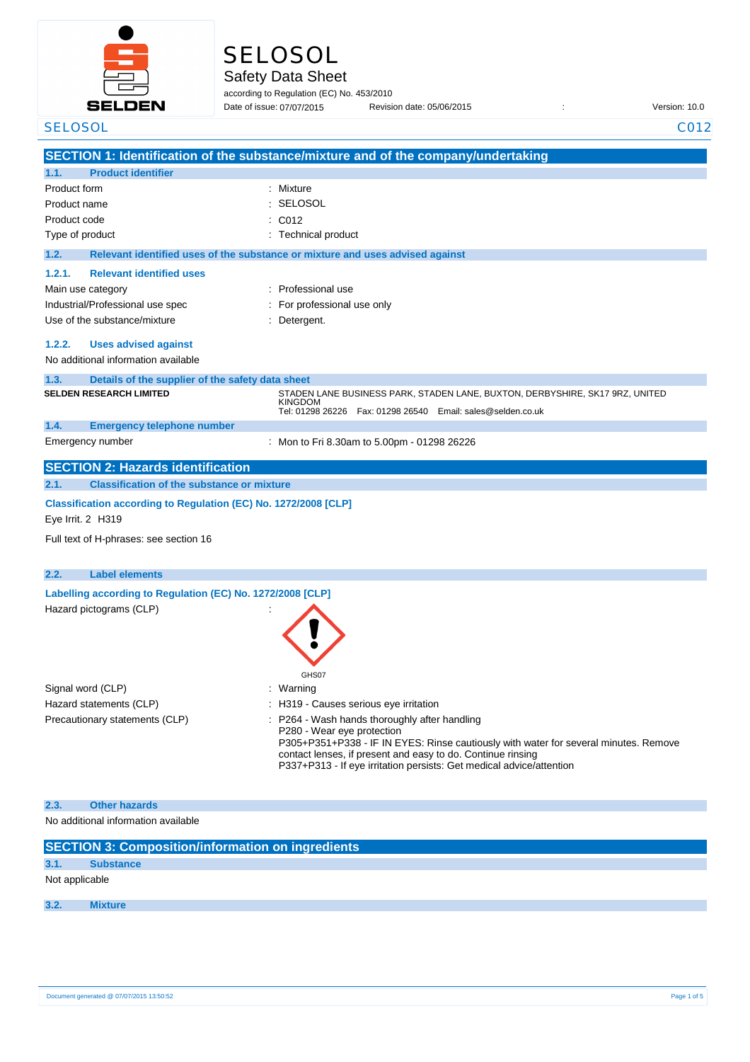

# SELOSOL

Safety Data Sheet

according to Regulation (EC) No. 453/2010 Date of issue: 07/07/2015

Date of issue: Revision date: 05/06/2015 : Version: 10.0

| <b>SELOSOL</b>                                                  | C012                                                                                                               |  |
|-----------------------------------------------------------------|--------------------------------------------------------------------------------------------------------------------|--|
|                                                                 | SECTION 1: Identification of the substance/mixture and of the company/undertaking                                  |  |
| <b>Product identifier</b><br>1.1.                               |                                                                                                                    |  |
| Product form                                                    | Mixture<br>÷                                                                                                       |  |
| Product name                                                    | SELOSOL                                                                                                            |  |
| Product code                                                    | C012                                                                                                               |  |
| Type of product                                                 | Technical product                                                                                                  |  |
| 1.2.                                                            | Relevant identified uses of the substance or mixture and uses advised against                                      |  |
| <b>Relevant identified uses</b><br>1.2.1.                       |                                                                                                                    |  |
| Main use category                                               | : Professional use                                                                                                 |  |
| Industrial/Professional use spec                                | : For professional use only                                                                                        |  |
| Use of the substance/mixture                                    | : Detergent.                                                                                                       |  |
|                                                                 |                                                                                                                    |  |
| 1.2.2.<br><b>Uses advised against</b>                           |                                                                                                                    |  |
| No additional information available                             |                                                                                                                    |  |
| Details of the supplier of the safety data sheet<br>1.3.        |                                                                                                                    |  |
| <b>SELDEN RESEARCH LIMITED</b>                                  | STADEN LANE BUSINESS PARK, STADEN LANE, BUXTON, DERBYSHIRE, SK17 9RZ, UNITED<br><b>KINGDOM</b>                     |  |
|                                                                 | Tel: 01298 26226    Fax: 01298 26540    Email: sales@selden.co.uk                                                  |  |
| 1.4.<br><b>Emergency telephone number</b><br>Emergency number   |                                                                                                                    |  |
|                                                                 | : Mon to Fri 8.30am to 5.00pm - 01298 26226                                                                        |  |
| <b>SECTION 2: Hazards identification</b>                        |                                                                                                                    |  |
| <b>Classification of the substance or mixture</b><br>2.1.       |                                                                                                                    |  |
| Classification according to Regulation (EC) No. 1272/2008 [CLP] |                                                                                                                    |  |
| Eye Irrit. 2 H319                                               |                                                                                                                    |  |
| Full text of H-phrases: see section 16                          |                                                                                                                    |  |
|                                                                 |                                                                                                                    |  |
| <b>Label elements</b><br>2.2.                                   |                                                                                                                    |  |
| Labelling according to Regulation (EC) No. 1272/2008 [CLP]      |                                                                                                                    |  |
| Hazard pictograms (CLP)                                         |                                                                                                                    |  |
|                                                                 |                                                                                                                    |  |
|                                                                 |                                                                                                                    |  |
|                                                                 |                                                                                                                    |  |
|                                                                 | GHS07                                                                                                              |  |
| Signal word (CLP)                                               | : Warning                                                                                                          |  |
| Hazard statements (CLP)                                         | : H319 - Causes serious eye irritation                                                                             |  |
| Precautionary statements (CLP)                                  | P264 - Wash hands thoroughly after handling                                                                        |  |
|                                                                 | P280 - Wear eye protection<br>P305+P351+P338 - IF IN EYES: Rinse cautiously with water for several minutes. Remove |  |
|                                                                 | contact lenses, if present and easy to do. Continue rinsing                                                        |  |
|                                                                 | P337+P313 - If eye irritation persists: Get medical advice/attention                                               |  |
|                                                                 |                                                                                                                    |  |
| <b>Other hazards</b><br>2.3.                                    |                                                                                                                    |  |
| No additional information available                             |                                                                                                                    |  |
| <b>SECTION 3: Composition/information on ingredients</b>        |                                                                                                                    |  |
| 3.1.<br><b>Substance</b>                                        |                                                                                                                    |  |

Not applicable

**3.2. Mixture**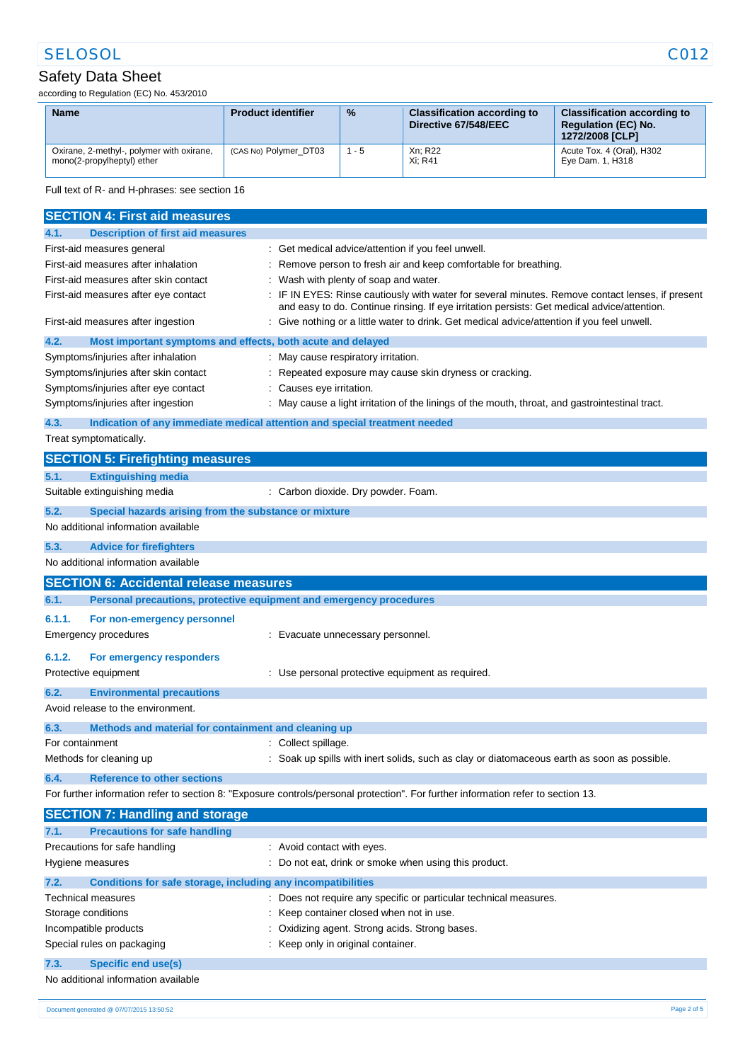# SELOSOL CO12

### Safety Data Sheet

according to Regulation (EC) No. 453/2010

| <b>Name</b>                                                             | <b>Product identifier</b> | $\frac{9}{6}$ | <b>Classification according to</b><br>Directive 67/548/EEC | <b>Classification according to</b><br><b>Regulation (EC) No.</b><br>1272/2008 [CLP] |
|-------------------------------------------------------------------------|---------------------------|---------------|------------------------------------------------------------|-------------------------------------------------------------------------------------|
| Oxirane, 2-methyl-, polymer with oxirane,<br>mono(2-propylheptyl) ether | (CAS No) Polymer DT03     | 1 - 5         | Xn; R22<br>Xi: R41                                         | Acute Tox. 4 (Oral), H302<br>Eye Dam. 1, H318                                       |

Full text of R- and H-phrases: see section 16

|                                                                       | <b>SECTION 4: First aid measures</b>                                                         |                                                                                                                                                                                               |
|-----------------------------------------------------------------------|----------------------------------------------------------------------------------------------|-----------------------------------------------------------------------------------------------------------------------------------------------------------------------------------------------|
| 4.1.                                                                  | <b>Description of first aid measures</b>                                                     |                                                                                                                                                                                               |
|                                                                       | First-aid measures general                                                                   | : Get medical advice/attention if you feel unwell.                                                                                                                                            |
|                                                                       | First-aid measures after inhalation                                                          | Remove person to fresh air and keep comfortable for breathing.                                                                                                                                |
|                                                                       | First-aid measures after skin contact                                                        | Wash with plenty of soap and water.                                                                                                                                                           |
|                                                                       | First-aid measures after eye contact                                                         | IF IN EYES: Rinse cautiously with water for several minutes. Remove contact lenses, if present<br>and easy to do. Continue rinsing. If eye irritation persists: Get medical advice/attention. |
|                                                                       | First-aid measures after ingestion                                                           | Give nothing or a little water to drink. Get medical advice/attention if you feel unwell.                                                                                                     |
| 4.2.                                                                  | Most important symptoms and effects, both acute and delayed                                  |                                                                                                                                                                                               |
|                                                                       | Symptoms/injuries after inhalation                                                           | May cause respiratory irritation.                                                                                                                                                             |
|                                                                       | Symptoms/injuries after skin contact                                                         | Repeated exposure may cause skin dryness or cracking.                                                                                                                                         |
|                                                                       | Symptoms/injuries after eye contact                                                          | Causes eye irritation.                                                                                                                                                                        |
|                                                                       | Symptoms/injuries after ingestion                                                            | May cause a light irritation of the linings of the mouth, throat, and gastrointestinal tract.                                                                                                 |
| 4.3.                                                                  |                                                                                              | Indication of any immediate medical attention and special treatment needed                                                                                                                    |
|                                                                       | Treat symptomatically.                                                                       |                                                                                                                                                                                               |
|                                                                       | <b>SECTION 5: Firefighting measures</b>                                                      |                                                                                                                                                                                               |
| 5.1.                                                                  | <b>Extinguishing media</b>                                                                   |                                                                                                                                                                                               |
|                                                                       | Suitable extinguishing media                                                                 | : Carbon dioxide. Dry powder. Foam.                                                                                                                                                           |
|                                                                       |                                                                                              |                                                                                                                                                                                               |
| 5.2.                                                                  | Special hazards arising from the substance or mixture<br>No additional information available |                                                                                                                                                                                               |
|                                                                       |                                                                                              |                                                                                                                                                                                               |
| 5.3.                                                                  | <b>Advice for firefighters</b>                                                               |                                                                                                                                                                                               |
|                                                                       | No additional information available                                                          |                                                                                                                                                                                               |
|                                                                       | <b>SECTION 6: Accidental release measures</b>                                                |                                                                                                                                                                                               |
| 6.1.                                                                  | Personal precautions, protective equipment and emergency procedures                          |                                                                                                                                                                                               |
| 6.1.1.                                                                | For non-emergency personnel                                                                  |                                                                                                                                                                                               |
|                                                                       | <b>Emergency procedures</b>                                                                  | : Evacuate unnecessary personnel.                                                                                                                                                             |
| 6.1.2.                                                                | For emergency responders                                                                     |                                                                                                                                                                                               |
|                                                                       | Protective equipment                                                                         | : Use personal protective equipment as required.                                                                                                                                              |
|                                                                       |                                                                                              |                                                                                                                                                                                               |
| 6.2.                                                                  | <b>Environmental precautions</b><br>Avoid release to the environment.                        |                                                                                                                                                                                               |
|                                                                       |                                                                                              |                                                                                                                                                                                               |
| 6.3.                                                                  | Methods and material for containment and cleaning up                                         |                                                                                                                                                                                               |
| For containment                                                       |                                                                                              | Collect spillage.                                                                                                                                                                             |
|                                                                       | Methods for cleaning up                                                                      | Soak up spills with inert solids, such as clay or diatomaceous earth as soon as possible.                                                                                                     |
| 6.4.                                                                  | <b>Reference to other sections</b>                                                           |                                                                                                                                                                                               |
|                                                                       |                                                                                              | For further information refer to section 8: "Exposure controls/personal protection". For further information refer to section 13.                                                             |
|                                                                       | <b>SECTION 7: Handling and storage</b>                                                       |                                                                                                                                                                                               |
| 7.1.                                                                  | <b>Precautions for safe handling</b>                                                         |                                                                                                                                                                                               |
|                                                                       | Precautions for safe handling                                                                | : Avoid contact with eyes.                                                                                                                                                                    |
|                                                                       | Hygiene measures                                                                             | Do not eat, drink or smoke when using this product.                                                                                                                                           |
| 7.2.                                                                  | Conditions for safe storage, including any incompatibilities                                 |                                                                                                                                                                                               |
|                                                                       | Technical measures                                                                           | Does not require any specific or particular technical measures.                                                                                                                               |
|                                                                       | Storage conditions                                                                           | Keep container closed when not in use.                                                                                                                                                        |
| Oxidizing agent. Strong acids. Strong bases.<br>Incompatible products |                                                                                              |                                                                                                                                                                                               |
|                                                                       | Special rules on packaging                                                                   | Keep only in original container.                                                                                                                                                              |
|                                                                       |                                                                                              |                                                                                                                                                                                               |
| 7.3.                                                                  | <b>Specific end use(s)</b>                                                                   |                                                                                                                                                                                               |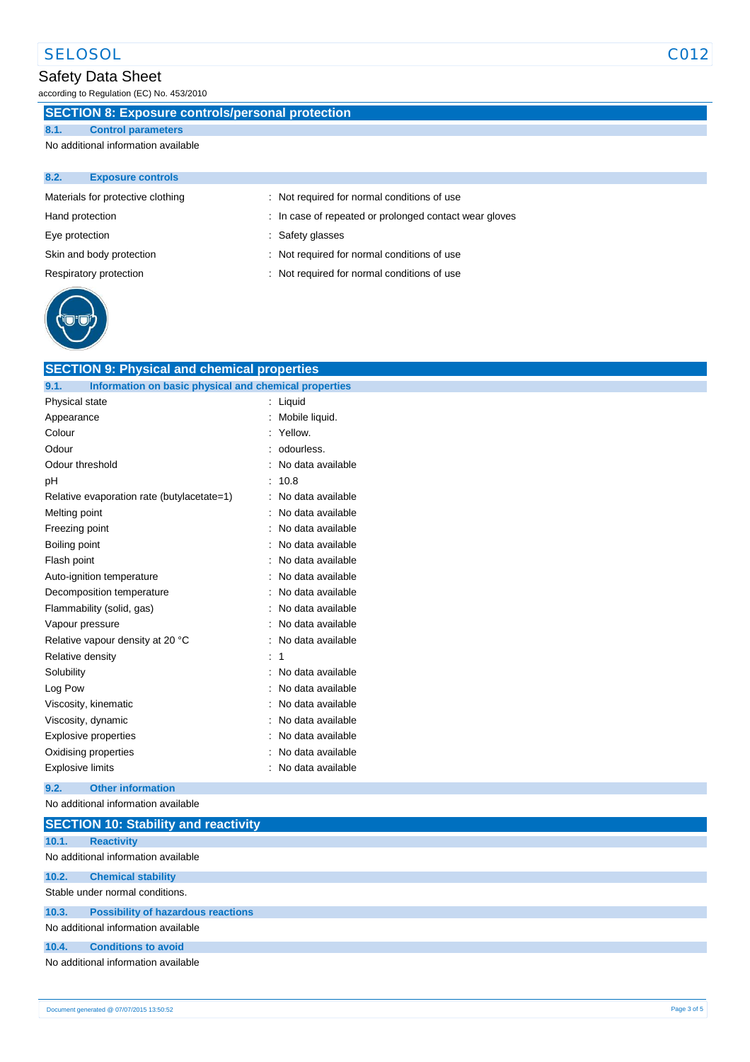# Safety Data Sheet

according to Regulation (EC) No. 453/2010

### **SECTION 8: Exposure controls/personal protection**

#### **8.1. Control parameters**

No additional information available

| 8.2.           | <b>Exposure controls</b>          |                                                        |
|----------------|-----------------------------------|--------------------------------------------------------|
|                | Materials for protective clothing | : Not required for normal conditions of use            |
|                | Hand protection                   | : In case of repeated or prolonged contact wear gloves |
| Eye protection |                                   | : Safety glasses                                       |
|                | Skin and body protection          | : Not required for normal conditions of use            |
|                | Respiratory protection            | : Not required for normal conditions of use            |
|                |                                   |                                                        |



| <b>SECTION 9: Physical and chemical properties</b>            |                   |
|---------------------------------------------------------------|-------------------|
| Information on basic physical and chemical properties<br>9.1. |                   |
| Physical state                                                | Liquid            |
| Appearance                                                    | Mobile liquid.    |
| Colour                                                        | Yellow.           |
| Odour                                                         | odourless.        |
| Odour threshold                                               | No data available |
| рH                                                            | 10.8              |
| Relative evaporation rate (butylacetate=1)                    | No data available |
| Melting point                                                 | No data available |
| Freezing point                                                | No data available |
| Boiling point                                                 | No data available |
| Flash point                                                   | No data available |
| Auto-ignition temperature                                     | No data available |
| Decomposition temperature                                     | No data available |
| Flammability (solid, gas)                                     | No data available |
| Vapour pressure                                               | No data available |
| Relative vapour density at 20 °C                              | No data available |
| Relative density                                              | 1                 |
| Solubility                                                    | No data available |
| Log Pow                                                       | No data available |
| Viscosity, kinematic                                          | No data available |
| Viscosity, dynamic                                            | No data available |
| Explosive properties                                          | No data available |
| Oxidising properties                                          | No data available |
| <b>Explosive limits</b>                                       | No data available |
|                                                               |                   |

#### **9.2. Other information**

No additional information available

|       | <b>SECTION 10: Stability and reactivity</b> |
|-------|---------------------------------------------|
| 10.1. | <b>Reactivity</b>                           |
|       | No additional information available         |
| 10.2. | <b>Chemical stability</b>                   |
|       | Stable under normal conditions.             |
| 10.3. | <b>Possibility of hazardous reactions</b>   |
|       | No additional information available         |
| 10.4. | <b>Conditions to avoid</b>                  |
|       | No additional information available         |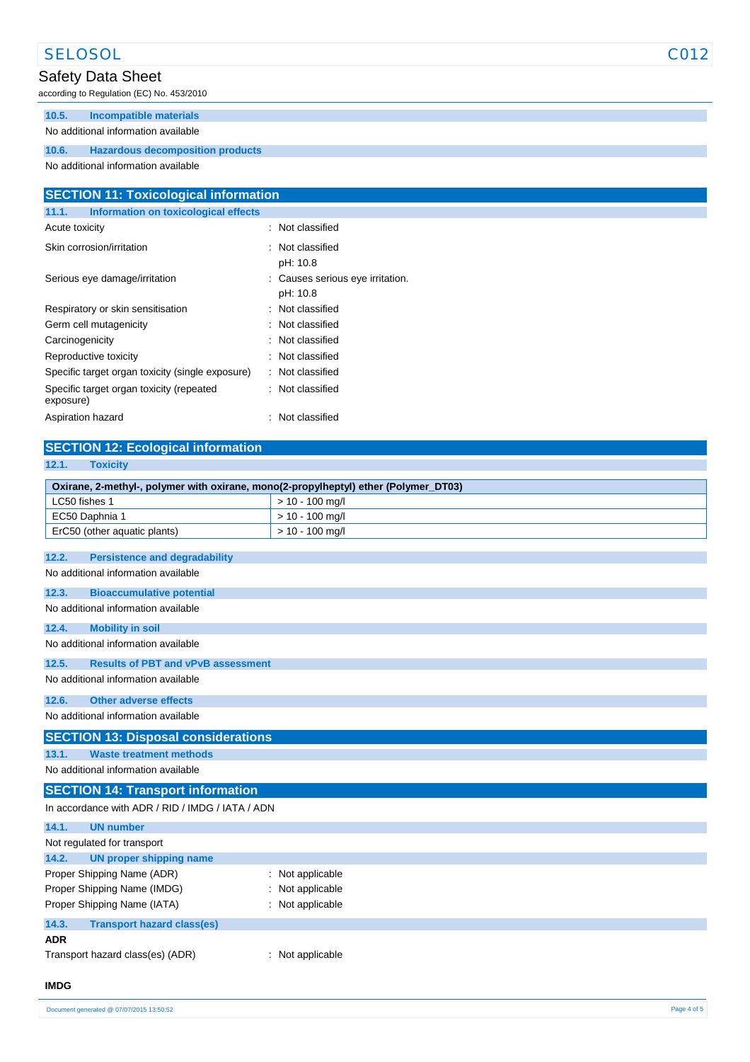# SELOSOL CO12

### Safety Data Sheet

according to Regulation (EC) No. 453/2010

### **10.5. Incompatible materials**

#### No additional information available

#### **10.6. Hazardous decomposition products**

No additional information available

| <b>SECTION 11: Toxicological information</b>          |                                              |  |
|-------------------------------------------------------|----------------------------------------------|--|
| Information on toxicological effects<br>11.1.         |                                              |  |
| Acute toxicity                                        | : Not classified                             |  |
| Skin corrosion/irritation                             | : Not classified<br>pH: 10.8                 |  |
| Serious eye damage/irritation                         | : Causes serious eye irritation.<br>pH: 10.8 |  |
| Respiratory or skin sensitisation                     | : Not classified                             |  |
| Germ cell mutagenicity                                | : Not classified                             |  |
| Carcinogenicity                                       | : Not classified                             |  |
| Reproductive toxicity                                 | : Not classified                             |  |
| Specific target organ toxicity (single exposure)      | : Not classified                             |  |
| Specific target organ toxicity (repeated<br>exposure) | : Not classified                             |  |
| Aspiration hazard                                     | : Not classified                             |  |

# **SECTION 12: Ecological information**

| 12.1.<br><b>Toxicity</b>                                                            |                   |
|-------------------------------------------------------------------------------------|-------------------|
| Oxirane, 2-methyl-, polymer with oxirane, mono(2-propylheptyl) ether (Polymer_DT03) |                   |
| LC50 fishes 1                                                                       | $> 10 - 100$ mg/l |
| EC50 Daphnia 1                                                                      | $> 10 - 100$ mg/l |
| ErC50 (other aquatic plants)                                                        | $> 10 - 100$ mg/l |
|                                                                                     |                   |
| 12.2.<br><b>Persistence and degradability</b>                                       |                   |
| No additional information available                                                 |                   |
| 12.3.<br><b>Bioaccumulative potential</b>                                           |                   |
| No additional information available                                                 |                   |
| 12.4.<br><b>Mobility in soil</b>                                                    |                   |
| No additional information available                                                 |                   |
| 12.5.<br><b>Results of PBT and vPvB assessment</b>                                  |                   |
| No additional information available                                                 |                   |
| <b>Other adverse effects</b><br>12.6.                                               |                   |
| No additional information available                                                 |                   |
| <b>SECTION 13: Disposal considerations</b>                                          |                   |
| <b>Waste treatment methods</b><br>13.1.                                             |                   |
| No additional information available                                                 |                   |
| <b>SECTION 14: Transport information</b>                                            |                   |
| In accordance with ADR / RID / IMDG / IATA / ADN                                    |                   |
| 14.1.<br><b>UN number</b>                                                           |                   |
| Not regulated for transport                                                         |                   |
| <b>UN proper shipping name</b><br>14.2.                                             |                   |
| Proper Shipping Name (ADR)                                                          | Not applicable    |
| Proper Shipping Name (IMDG)                                                         | Not applicable    |
| Proper Shipping Name (IATA)                                                         | Not applicable    |
| 14.3<br><b>Transport hazard classingly</b>                                          |                   |

#### **14.3. Transport hazard class(es)**

- **ADR**
- Transport hazard class(es) (ADR) : Not applicable

**IMDG**